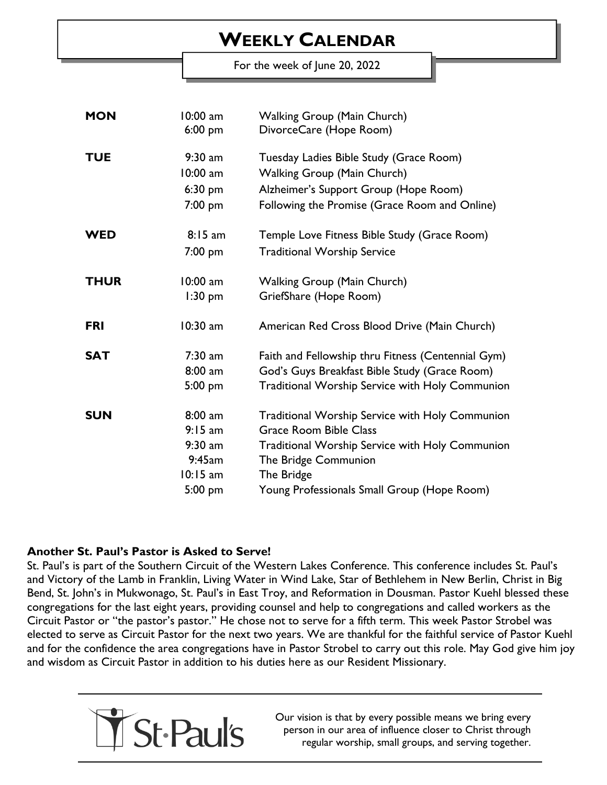## **WEEKLY CALENDAR**

For the week of June 20, 2022

| <b>MON</b>  | $10:00$ am<br>$6:00$ pm | <b>Walking Group (Main Church)</b><br>DivorceCare (Hope Room) |
|-------------|-------------------------|---------------------------------------------------------------|
| <b>TUE</b>  | $9:30$ am               | Tuesday Ladies Bible Study (Grace Room)                       |
|             | 10:00 am                | Walking Group (Main Church)                                   |
|             | $6:30$ pm               | Alzheimer's Support Group (Hope Room)                         |
|             | 7:00 pm                 | Following the Promise (Grace Room and Online)                 |
| <b>WED</b>  | 8:15 am                 | Temple Love Fitness Bible Study (Grace Room)                  |
|             | 7:00 pm                 | <b>Traditional Worship Service</b>                            |
| <b>THUR</b> | $10:00$ am              | <b>Walking Group (Main Church)</b>                            |
|             | $1:30$ pm               | GriefShare (Hope Room)                                        |
| <b>FRI</b>  | $10:30$ am              | American Red Cross Blood Drive (Main Church)                  |
| <b>SAT</b>  | $7:30$ am               | Faith and Fellowship thru Fitness (Centennial Gym)            |
|             | $8:00$ am               | God's Guys Breakfast Bible Study (Grace Room)                 |
|             | 5:00 pm                 | <b>Traditional Worship Service with Holy Communion</b>        |
| <b>SUN</b>  | $8:00$ am               | <b>Traditional Worship Service with Holy Communion</b>        |
|             | $9:15 \text{ am}$       | <b>Grace Room Bible Class</b>                                 |
|             | $9:30$ am               | <b>Traditional Worship Service with Holy Communion</b>        |
|             | 9:45am                  | The Bridge Communion                                          |
|             | $10:15$ am              | The Bridge                                                    |
|             | 5:00 pm                 | Young Professionals Small Group (Hope Room)                   |

## **Another St. Paul's Pastor is Asked to Serve!**

St. Paul's is part of the Southern Circuit of the Western Lakes Conference. This conference includes St. Paul's and Victory of the Lamb in Franklin, Living Water in Wind Lake, Star of Bethlehem in New Berlin, Christ in Big Bend, St. John's in Mukwonago, St. Paul's in East Troy, and Reformation in Dousman. Pastor Kuehl blessed these congregations for the last eight years, providing counsel and help to congregations and called workers as the Circuit Pastor or "the pastor's pastor." He chose not to serve for a fifth term. This week Pastor Strobel was elected to serve as Circuit Pastor for the next two years. We are thankful for the faithful service of Pastor Kuehl and for the confidence the area congregations have in Pastor Strobel to carry out this role. May God give him joy and wisdom as Circuit Pastor in addition to his duties here as our Resident Missionary.



Our vision is that by every possible means we bring every person in our area of influence closer to Christ through regular worship, small groups, and serving together.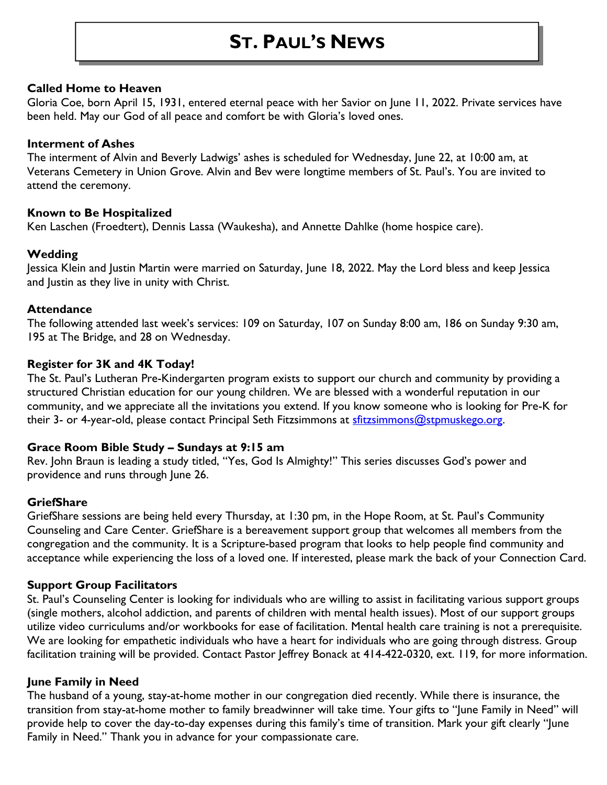## **ST. PAUL'S NEWS**

#### **Called Home to Heaven**

Gloria Coe, born April 15, 1931, entered eternal peace with her Savior on June 11, 2022. Private services have been held. May our God of all peace and comfort be with Gloria's loved ones.

#### **Interment of Ashes**

The interment of Alvin and Beverly Ladwigs' ashes is scheduled for Wednesday, June 22, at 10:00 am, at Veterans Cemetery in Union Grove. Alvin and Bev were longtime members of St. Paul's. You are invited to attend the ceremony.

#### **Known to Be Hospitalized**

Ken Laschen (Froedtert), Dennis Lassa (Waukesha), and Annette Dahlke (home hospice care).

## **Wedding**

Jessica Klein and Justin Martin were married on Saturday, June 18, 2022. May the Lord bless and keep Jessica and Justin as they live in unity with Christ.

#### **Attendance**

The following attended last week's services: 109 on Saturday, 107 on Sunday 8:00 am, 186 on Sunday 9:30 am, 195 at The Bridge, and 28 on Wednesday.

#### **Register for 3K and 4K Today!**

The St. Paul's Lutheran Pre-Kindergarten program exists to support our church and community by providing a structured Christian education for our young children. We are blessed with a wonderful reputation in our community, and we appreciate all the invitations you extend. If you know someone who is looking for Pre-K for their 3- or 4-year-old, please contact Principal Seth Fitzsimmons at [sfitzsimmons@stpmuskego.org.](mailto:sfitzsimmons@stpmuskego.org)

## **Grace Room Bible Study – Sundays at 9:15 am**

Rev. John Braun is leading a study titled, "Yes, God Is Almighty!" This series discusses God's power and providence and runs through June 26.

## **GriefShare**

GriefShare sessions are being held every Thursday, at 1:30 pm, in the Hope Room, at St. Paul's Community Counseling and Care Center. GriefShare is a bereavement support group that welcomes all members from the congregation and the community. It is a Scripture-based program that looks to help people find community and acceptance while experiencing the loss of a loved one. If interested, please mark the back of your Connection Card.

#### **Support Group Facilitators**

St. Paul's Counseling Center is looking for individuals who are willing to assist in facilitating various support groups (single mothers, alcohol addiction, and parents of children with mental health issues). Most of our support groups utilize video curriculums and/or workbooks for ease of facilitation. Mental health care training is not a prerequisite. We are looking for empathetic individuals who have a heart for individuals who are going through distress. Group facilitation training will be provided. Contact Pastor Jeffrey Bonack at 414-422-0320, ext. 119, for more information.

## **June Family in Need**

The husband of a young, stay-at-home mother in our congregation died recently. While there is insurance, the transition from stay-at-home mother to family breadwinner will take time. Your gifts to "June Family in Need" will provide help to cover the day-to-day expenses during this family's time of transition. Mark your gift clearly "June Family in Need." Thank you in advance for your compassionate care.